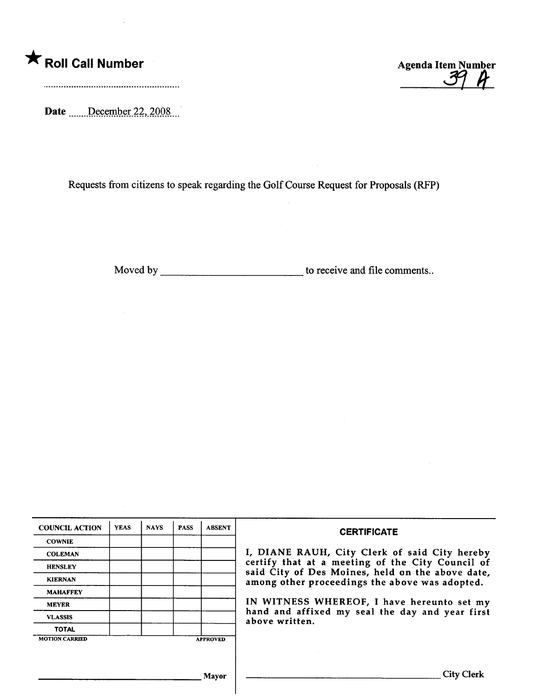

 $\overline{\phantom{a}}$ 

Date <u>December 22</u>, 2008

Requests from citizens to speak regarding the Golf Course Request for Proposals (RFP)

Moved by \_\_\_\_\_\_\_\_\_\_\_\_\_\_\_\_\_\_\_\_\_\_\_\_\_\_\_\_\_\_\_\_\_ to receive and file comments..

| <b>COUNCIL ACTION</b> | <b>YEAS</b> | <b>NAYS</b> | <b>PASS</b> | <b>ABSENT</b>   | <b>CERTIFICATE</b>                                                                                                                                                                                                    |  |  |
|-----------------------|-------------|-------------|-------------|-----------------|-----------------------------------------------------------------------------------------------------------------------------------------------------------------------------------------------------------------------|--|--|
| <b>COWNIE</b>         |             |             |             |                 |                                                                                                                                                                                                                       |  |  |
| <b>COLEMAN</b>        |             |             |             |                 | I, DIANE RAUH, City Clerk of said City hereby                                                                                                                                                                         |  |  |
| <b>HENSLEY</b>        |             |             |             |                 | certify that at a meeting of the City Council of                                                                                                                                                                      |  |  |
| <b>KIERNAN</b>        |             |             |             |                 | said City of Des Moines, held on the above date,<br>among other proceedings the above was adopted.<br>IN WITNESS WHEREOF, I have hereunto set my<br>hand and affixed my seal the day and year first<br>above written. |  |  |
| <b>MAHAFFEY</b>       |             |             |             |                 |                                                                                                                                                                                                                       |  |  |
| <b>MEYER</b>          |             |             |             |                 |                                                                                                                                                                                                                       |  |  |
| <b>VLASSIS</b>        |             |             |             |                 |                                                                                                                                                                                                                       |  |  |
| <b>TOTAL</b>          |             |             |             |                 |                                                                                                                                                                                                                       |  |  |
| <b>MOTION CARRIED</b> |             |             |             | <b>APPROVED</b> |                                                                                                                                                                                                                       |  |  |
|                       |             |             |             |                 |                                                                                                                                                                                                                       |  |  |
|                       |             |             |             |                 |                                                                                                                                                                                                                       |  |  |
|                       |             |             |             | <b>Mavor</b>    | <b>City Clerk</b>                                                                                                                                                                                                     |  |  |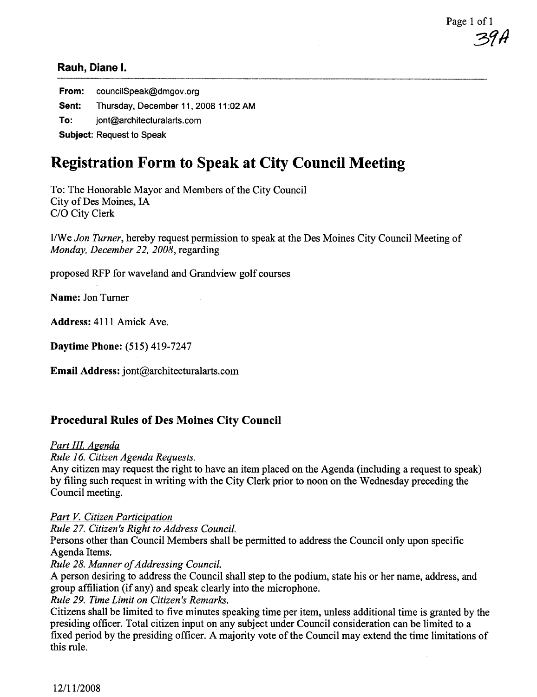Page 1 of 1 39A

From: councilSpeak@dmgov.org Sent: Thursday, December 11, 2008 11:02 AM To: jont@architecturalarts.com Subject: Request to Speak

# Registration Form to Speak at City Council Meeting

To: The Honorable Mayor and Members of the City Council City of Des Moines, IA C/O City Clerk

I/ We Jon Turner, hereby request permission to speak at the Des Moines City Council Meeting of Monday, December 22, 2008, regarding

proposed RFP for waveland and Grandview golf courses

Name: Jon Turner

Address: 4l1l Amick Ave.

Daytime Phone: (515) 419-7247

Email Address: jont@architecturalarts.com

### Procedural Rules of Des Moines City Council

#### Part III. Agenda

Rule 16. Citizen Agenda Requests.

Any citizen may request the right to have an item placed on the Agenda (including a request to speak) by fiing such request in writing with the City Clerk prior to noon on the Wednesday preceding the Council meeting.

#### Part V. Citizen Participation

Rule 27. Citizen's Right to Address Council.

Persons other than Council Members shall be permitted to address the Council only upon specific Agenda Items.

#### Rule 28. Manner of Addressing CounciL.

A person desiring to address the Council shall step to the podium, state his or her name, address, and group affliation (if any) and speak clearly into the microphone.

Rule 29. Time Limit on Citizen's Remarks.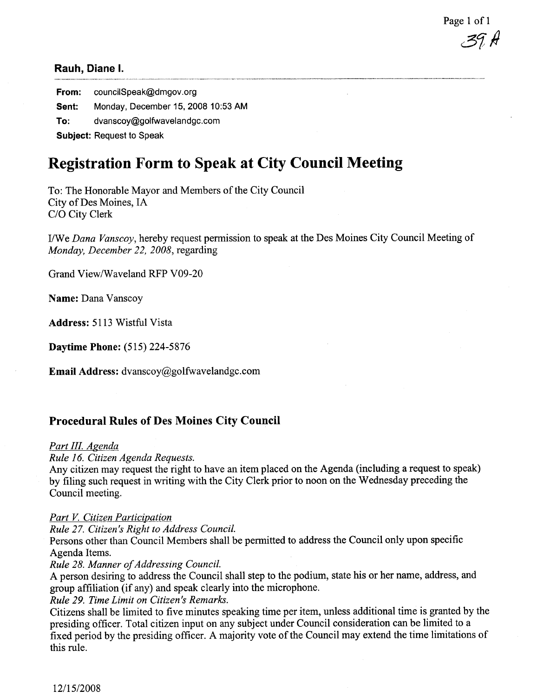Page 1 of 1 3J H

From: councilSpeak@dmgov.org Sent: Monday, December 15, 2008 10:53 AM To: dvanscoy@golfwavelandgc.com Subject: Request to Speak

## Registration Form to Speak at City Council Meeting

To: The Honorable Mayor and Members of the City Council City of Des Moines, IA C/O City Clerk

I/We Dana Vanscoy, hereby request permission to speak at the Des Moines City Council Meeting of Monday, December 22, 2008, regarding

Grand View/Waveland RFP V09-20

Name: Dana Vanscoy

Address: 5113 Wistful Vista

Daytime Phone: (5l5) 224-5876

Email Address: dvanscoy@golfwavelandgc.com

### Procedural Rules of Des Moines City Council

#### Part III. Agenda

Rule 16. Citizen Agenda Requests.

Any citizen may request the right to have an item placed on the Agenda (including a request to speak) by fiing such request in writing with the City Clerk prior to noon on the Wednesday preceding the Council meeting.

#### Part V. Citizen Participation

Rule 27. Citizen's Right to Address Council.

Persons other than Council Members shall be permitted to address the Council only upon specific Agenda Items.

#### Rule 28. Manner of Addressing Council.

A person desiring to address the Council shall step to the podium, state his or her name, address, and group affliation (if any) and speak clearly into the microphone.

Rule 29. Time Limit on Citizen's Remarks.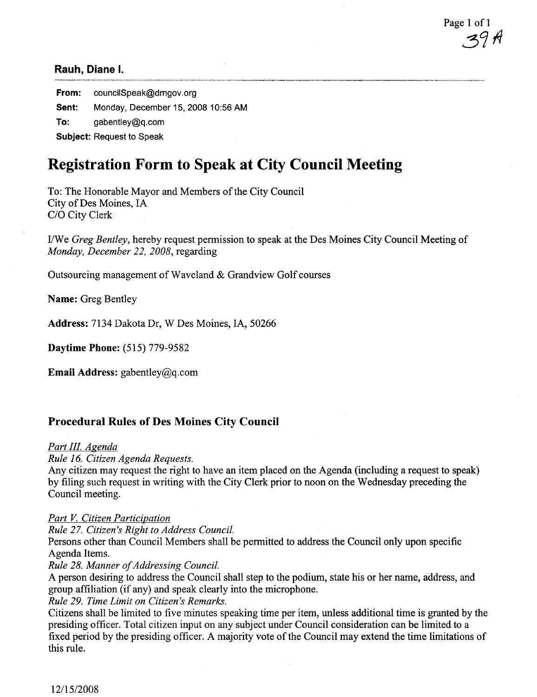Page 1 of 1 <u>3</u>91

From: councilSpeak@dmgov.org Sent: Monday, December 15, 2008 10:56 AM  $To:$  gabentley@q.com Subject: Request to Speak

## Registration Form to Speak at City Council Meeting

To: The Honorable Mayor and Members of the City Council City of Des Moines, IA C/O City Clerk

I/We Greg Bentley, hereby request permission to speak at the Des Moines City Council Meeting of Monday, December 22, 2008, regarding

Outsourcing management of Waveland & Grandview Golf courses

Name: Greg Bentley

Address: 7134 Dakota Dr, W Des Moines, lA, 50266

Daytime Phone: (515) 779-9582

**Email Address:** gabentley@q.com

#### Procedural Rules of Des Moines City Council

#### Part III. Agenda

Rule 16. Citizen Agenda Requests.

Any citizen may request the right to have an item placed on the Agenda (including a request to speak) by filing such request in writing with the City Clerk prior to noon on the Wednesday preceding the Council meeting.

#### Part V. Citizen Participation

Rule 27. Citizen's Right to Address Council.

Persons other than Council Members shall be permitted to address the Council only upon specific Agenda Items.

Rule 28. Manner of Addressing Council.

A person desiring to address the Council shall step to the podium, state his or her name, address, and group affliation (if any) and speak clearly into the microphone.

Rule 29. Time Limit on Citizen's Remarks.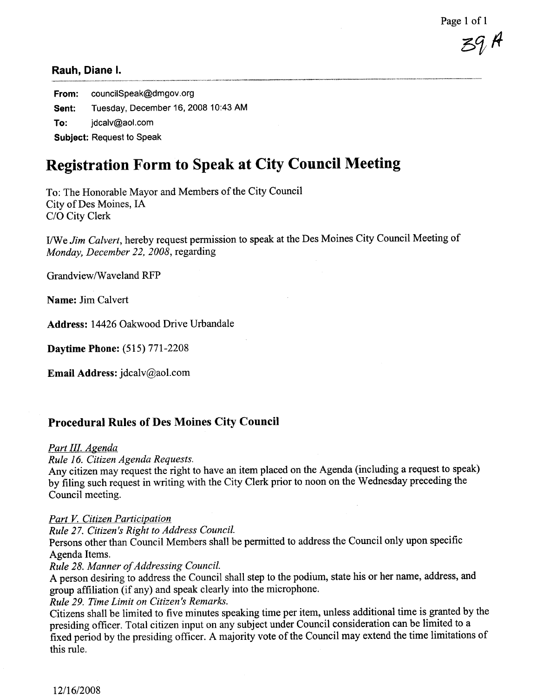Page 1 of 1

 $39H$ 

From: councilSpeak@dmgov.org Sent: Tuesday, December 16, 2008 10:43 AM To: idcalv@aol.com Subject: Request to Speak

# Registration Form to Speak at City Council Meeting

To: The Honorable Mayor and Members of the City Council City of Des Moines, IA C/O City Clerk

I/We Jim Calvert, hereby request permission to speak at the Des Moines City Council Meeting of Monday, December 22, 2008, regarding

Grandview/Waveland RFP

Name: Jim Calvert

Address: 14426 Oakwood Drive Urbandale

Daytime Phone: (515) 771-2208

Email Address: jdcalv@aol.com

## Procedural Rules of Des Moines City Council

## Part III. Agenda

Rule 16. Citizen Agenda Requests.

Any citizen may request the right to have an item placed on the Agenda (including a request to speak) by filing such request in writing with the City Clerk prior to noon on the Wednesday preceding the Council meeting.

## Part V. Citizen Participation

Rule 27. Citizen's Right to Address Council.

Persons other than Council Members shall be permitted to address the Council only upon specific Agenda Items.

Rule 28. Manner of Addressing Council.

A person desiring to address the Council shall step to the podium, state his or her name, address, and group affiiation (if any) and speak clearly into the microphone.

Rule 29. Time Limit on Citizen's Remarks.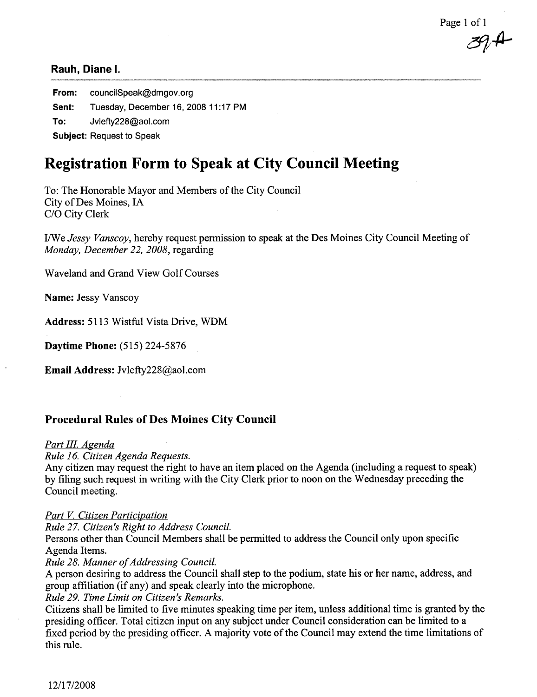Page 1 of 1

 $\mathscr{B}\!\!\mathscr{A}$ 

From: councilSpeak@dmgov.org Sent: Tuesday, December 16, 2008 11:17 PM To: Jylefty228@aol.com Subject: Request to Speak

# Registration Form to Speak at City Council Meeting

To: The Honorable Mayor and Members of the City Council City of Des Moines, IA C/O City Clerk

I/We Jessy Vanscoy, hereby request permission to speak at the Des Moines City Council Meeting of Monday, December 22, 2008, regarding

Waveland and Grand View Golf Courses

Name: Jessy Vanscoy

Address: 5113 Wistful Vista Drive, WDM

Daytime Phone: (515) 224-5876

Email Address: Jvlefty228@aol.com

## Procedural Rules of Des Moines City Council

## Part III. Agenda

Rule 16. Citizen Agenda Requests.

Any citizen may request the right to have an item placed on the Agenda (including a request to speak) by filing such request in writing with the City Clerk prior to noon on the Wednesday preceding the Council meeting.

## Part V. Citizen Participation

Rule 27. Citizen's Right to Address Council.

Persons other than Council Members shall be permitted to address the Council only upon specific Agenda Items.

Rule 28. Manner of Addressing Council.

A person desiring to address the Council shall step to the podium, state his or her name, address, and group affiiation (if any) and speak clearly into the microphone.

Rule 29. Time Limit on Citizen's Remarks.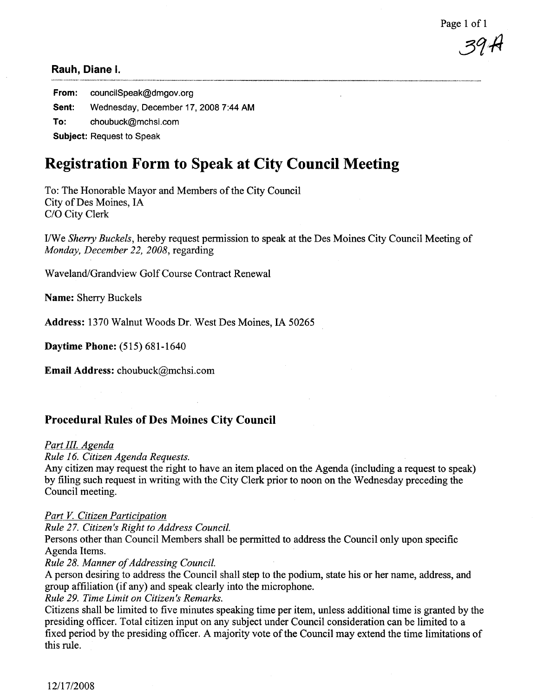Page 1 of 1

39 H

From: councilSpeak@dmgov.org Sent: Wednesday, December 17, 2008 7:44 AM To: choubuck@mchsi.com Subject: Request to Speak

# Registration Form to Speak at City Council Meeting

To: The Honorable Mayor and Members of the City Council City of Des Moines, IA C/O City Clerk

I/We Sherry Buckels, hereby request permission to speak at the Des Moines City Council Meeting of Monday, December 22, 2008, regarding

Waveland/Grandview Golf Course Contract Renewal

Name: Sherry Buckels

Address: 1370 Walnut Woods Dr. West Des Moines, IA 50265

Daytime Phone: (515) 681-1640

Email Address: choubuck@mchsi.com

## Procedural Rules of Des Moines City Council

## Part III. Agenda

Rule 16. Citizen Agenda Requests.

Any citizen may request the right to have an item placed on the Agenda (including a request to speak) by filing such request in writing with the City Clerk prior to noon on the Wednesday preceding the Council meeting.

## Part V. Citizen Participation

Rule 27. Citizen's Right to Address CounciL.

Persons other than Council Members shall be permitted to address the Council only upon specific Agenda Items.

## Rule 28. Manner of Addressing Council.

A person desiring to address the Council shall step to the podium, state his or her name, address, and group affliation (if any) and speak clearly into the microphone.

Rule 29. Time Limit on Citizen's Remarks.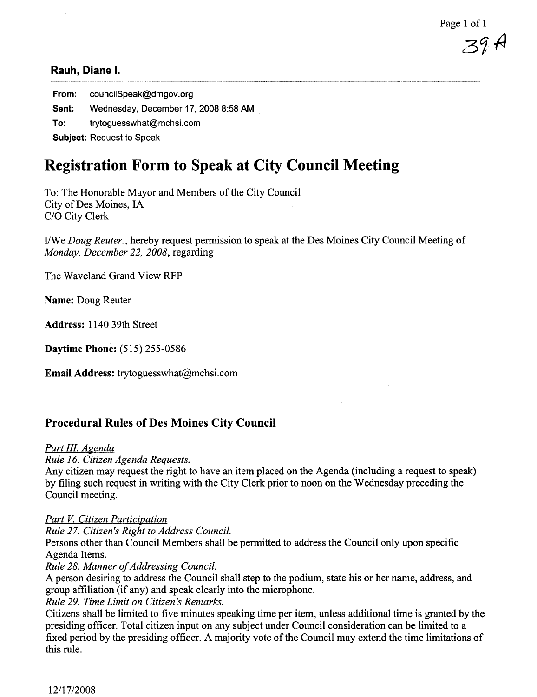From: councilSpeak@dmgov.org Sent: Wednesday, December 17, 2008 8:58 AM To: trytoguesswhat@mchsi.com Subject: Request to Speak

# Registration Form to Speak at City Council Meeting

To: The Honorable Mayor and Members of the City Council City of Des Moines, IA C/O City Clerk

I/We Doug Reuter., hereby request permission to speak at the Des Moines City Council Meeting of Monday, December 22, 2008, regarding

The Waveland Grand View RFP

Name: Doug Reuter

Address: 1140 39th Street

Daytime Phone: (515) 255-0586

Email Address: trytoguesswhat@mchsi.com

## Procedural Rules of Des Moines City Council

#### Part III. Agenda

Rule 16. Citizen Agenda Requests.

Any citizen may request the right to have an item placed on the Agenda (including a request to speak) by filing such request in writing with the City Clerk prior to noon on the Wednesday preceding the Council meeting.

#### Part V. Citizen Participation

Rule 27. Citizen's Right to Address Council.

Persons other than Council Members shall be permitted to address the Council only upon specific Agenda Items.

Rule 28. Manner of Addressing Council.

A person desiring to address the Council shall step to the podium, state his or her name, address, and group affliation (if any) and speak clearly into the microphone.

Rule 29. Time Limit on Citizen's Remarks.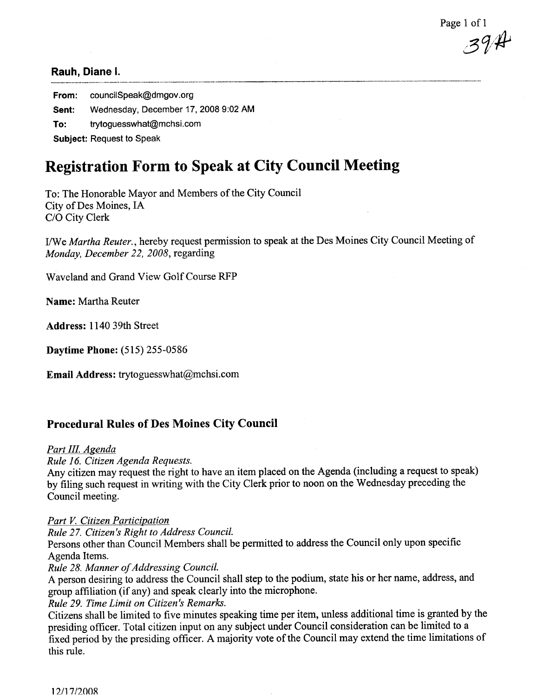Page 1 of 1  $394$ 

From: councilSpeak@dmgov.org Sent: Wednesday, December 17, 2008 9:02 AM To: trytoguesswhat@mchsi.com Subject: Request to Speak

# Registration Form to Speak at City Council Meeting

To: The Honorable Mayor and Members of the City Council City of Des Moines, IA C/O City Clerk

I/We Martha Reuter., hereby request permission to speak at the Des Moines City Council Meeting of Monday, December 22, 2008, regarding

Waveland and Grand View Golf Course RFP

Name: Martha Reuter

Address: 1140 39th Street

Daytime Phone: (515) 255-0586

Email Address: trytoguesswhat@mchsi.com

## Procedural Rules of Des Moines City Council

## Part III. Agenda

Rule 16. Citizen Agenda Requests.

Any citizen may request the right to have an item placed on the Agenda (including a request to speak) by fiing such request in writing with the City Clerk prior to noon on the Wednesday preceding the Council meeting.

## Part V. Citizen Participation

Rule 27. Citizen's Right to Address Council.

Persons other than Council Members shall be permitted to address the Council only upon specific Agenda Items.

Rule 28. Manner of Addressing Council.

A person desiring to address the Council shall step to the podium, state his or her name, address, and group affliation (if any) and speak clearly into the microphone.

Rule 29. Time Limit on Citizen's Remarks.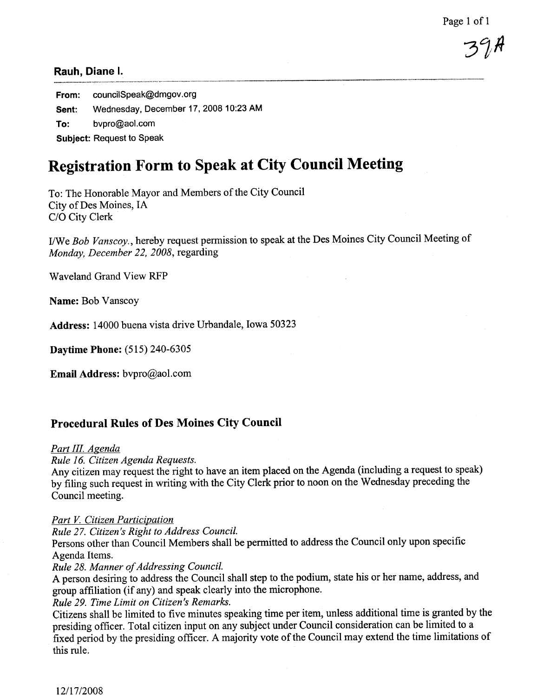Page 1 of 1

 $37<sup>n</sup>$ 

### Rauh, Diane i.

From: councilSpeak@dmgov.org Sent: Wednesday, December 17, 2008 10:23 AM To: bvpro@aol.com Subject: Request to Speak

# Registration Form to Speak at City Council Meeting

To: The Honorable Mayor and Members of the City Council City of Des Moines, IA C/O City Clerk

I/We Bob Vanscoy., hereby request permission to speak at the Des Moines City Council Meeting of Monday, December 22, 2008, regarding

Waveland Grand View RFP

Name: Bob Vanscoy

Address: 14000 buena vista drive Urbandale, Iowa 50323

Daytime Phone: (515) 240-6305

Email Address: bvpro@aol.com

## Procedural Rules of Des Moines City Council

#### Part III. Agenda

Rule 16. Citizen Agenda Requests.

Any citizen may request the right to have an item placed on the Agenda (including a request to speak) by filing such request in writing with the City Clerk prior to noon on the Wednesday preceding the Council meeting.

#### Part V. Citizen Participation

Rule 27. Citizen's Right to Address Council.

Persons other than Council Members shall be permitted to address the Council only upon specific Agenda Items.

Rule 28. Manner of Addressing Council.

A person desiring to address the Council shall step to the podium, state his or her name, address, and group affiiation (if any) and speak clearly into the microphone.

Rule 29. Time Limit on Citizen's Remarks.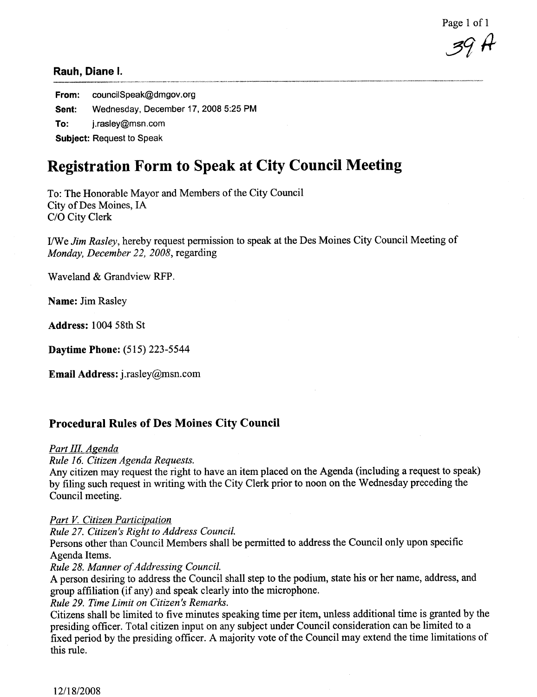Page 1 of 1

39 H

From: councilSpeak@dmgov.org Sent: Wednesday, December 17, 2008 5:25 PM To: j.rasley@msn.com Subject: Request to Speak

# Registration Form to Speak at City Council Meeting

To: The Honorable Mayor and Members of the City Council City of Des Moines, IA C/O City Clerk

I/We Jim Rasley, hereby request permission to speak at the Des Moines City Council Meeting of Monday, December 22, 2008, regarding

Waveland & Grandview RFP.

Name: Jim Rasley

Address: 1004 58th St

Daytime Phone: (515) 223-5544

**Email Address:** j.rasley@msn.com

### Procedural Rules of Des Moines City Council

Part III. Agenda

Rule 16. Citizen Agenda Requests.

Any citizen may request the right to have an item placed on the Agenda (including a request to speak) by filing such request in writing with the City Clerk prior to noon on the Wednesday preceding the Council meeting.

#### Part V. Citizen Participation

Rule 27. Citizen's Right to Address Council.

Persons other than Council Members shall be permitted to address the Council only upon specific Agenda Items.

Rule 28. Manner of Addressing Council.

A person desiring to address the Council shall step to the podium, state his or her name, address, and group affliation (if any) and speak clearly into the microphone.

Rule 29. Time Limit on Citizen's Remarks.